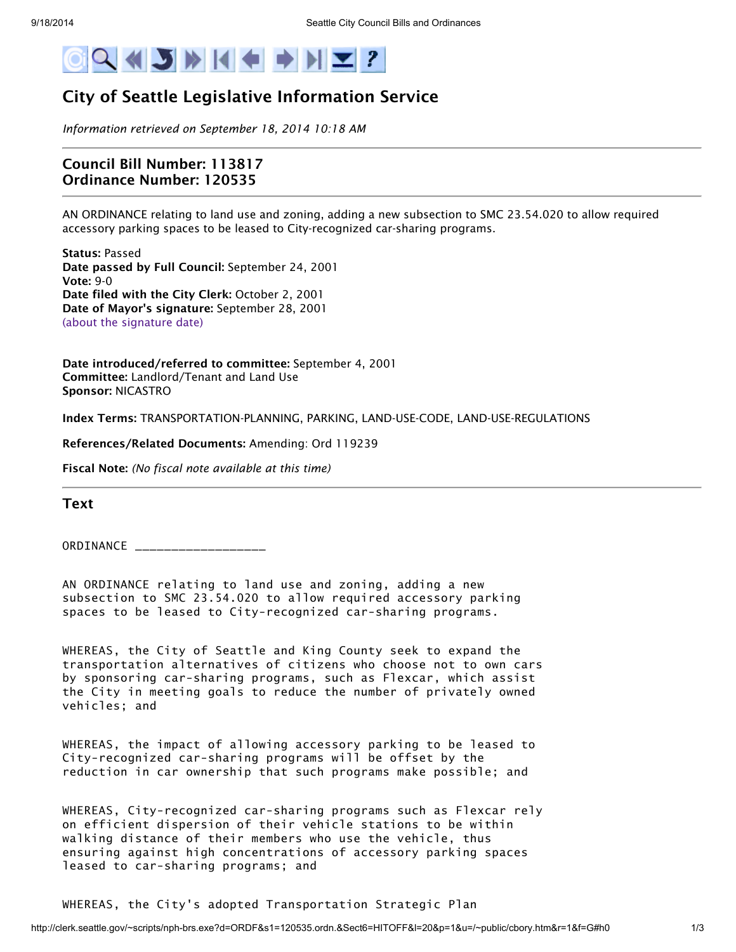

## City of Seattle Legislative Information Service

*Information retrieved on September 18, 2014 10:18 AM*

## Council Bill Number: 113817 Ordinance Number: 120535

AN ORDINANCE relating to land use and zoning, adding a new subsection to SMC 23.54.020 to allow required accessory parking spaces to be leased to City-recognized car-sharing programs.

Status: Passed Date passed by Full Council: September 24, 2001 Vote: 9-0 Date filed with the City Clerk: October 2, 2001 Date of Mayor's signature: September 28, 2001 (about the [signature](http://clerk.seattle.gov/~public/approvaldate.htm) date)

Date introduced/referred to committee: September 4, 2001 Committee: Landlord/Tenant and Land Use Sponsor: NICASTRO

Index Terms: TRANSPORTATION-PLANNING, PARKING, LAND-USE-CODE, LAND-USE-REGULATIONS

References/Related Documents: Amending: Ord 119239

Fiscal Note: *(No fiscal note available at this time)*

Text

ORDINANCE

AN ORDINANCE relating to land use and zoning, adding a new subsection to SMC 23.54.020 to allow required accessory parking spaces to be leased to City-recognized car-sharing programs.

WHEREAS, the City of Seattle and King County seek to expand the transportation alternatives of citizens who choose not to own cars by sponsoring car-sharing programs, such as Flexcar, which assist the City in meeting goals to reduce the number of privately owned vehicles; and

WHEREAS, the impact of allowing accessory parking to be leased to City-recognized car-sharing programs will be offset by the reduction in car ownership that such programs make possible; and

WHEREAS, City-recognized car-sharing programs such as Flexcar rely on efficient dispersion of their vehicle stations to be within walking distance of their members who use the vehicle, thus ensuring against high concentrations of accessory parking spaces leased to car-sharing programs; and

WHEREAS, the City's adopted Transportation Strategic Plan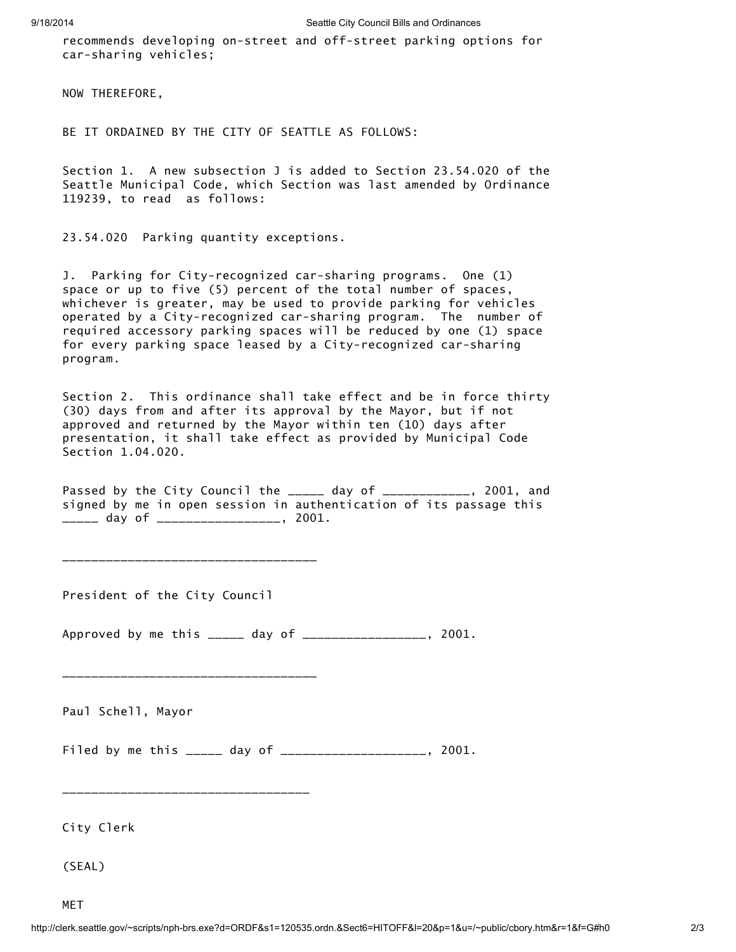recommends developing on-street and off-street parking options for car-sharing vehicles;

NOW THEREFORE,

BE IT ORDAINED BY THE CITY OF SEATTLE AS FOLLOWS:

Section 1. A new subsection J is added to Section 23.54.020 of the Seattle Municipal Code, which Section was last amended by Ordinance 119239, to read as follows:

23.54.020 Parking quantity exceptions.

J. Parking for City-recognized car-sharing programs. One (1) space or up to five (5) percent of the total number of spaces, whichever is greater, may be used to provide parking for vehicles operated by a City-recognized car-sharing program. The number of required accessory parking spaces will be reduced by one (1) space for every parking space leased by a City-recognized car-sharing program.

Section 2. This ordinance shall take effect and be in force thirty (30) days from and after its approval by the Mayor, but if not approved and returned by the Mayor within ten (10) days after presentation, it shall take effect as provided by Municipal Code Section 1.04.020.

Passed by the City Council the \_\_\_\_\_ day of \_\_\_\_\_\_\_\_\_\_\_, 2001, and signed by me in open session in authentication of its passage this \_\_\_\_\_ day of \_\_\_\_\_\_\_\_\_\_\_\_\_\_\_\_\_, 2001.

President of the City Council

\_\_\_\_\_\_\_\_\_\_\_\_\_\_\_\_\_\_\_\_\_\_\_\_\_\_\_\_\_\_\_\_\_\_\_

\_\_\_\_\_\_\_\_\_\_\_\_\_\_\_\_\_\_\_\_\_\_\_\_\_\_\_\_\_\_\_\_\_\_\_

\_\_\_\_\_\_\_\_\_\_\_\_\_\_\_\_\_\_\_\_\_\_\_\_\_\_\_\_\_\_\_\_\_\_

Approved by me this \_\_\_\_\_ day of \_\_\_\_\_\_\_\_\_\_\_\_\_\_\_\_\_, 2001.

Paul Schell, Mayor

Filed by me this \_\_\_\_\_ day of \_\_\_\_\_\_\_\_\_\_\_\_\_\_\_\_\_\_\_\_\_, 2001.

City Clerk

(SEAL)

MET